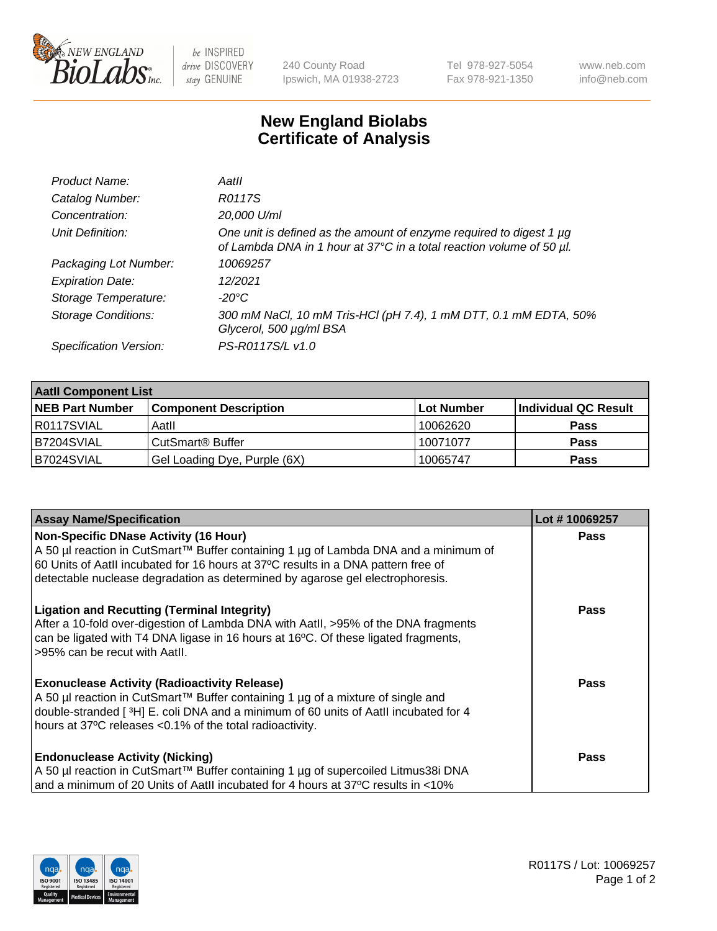

 $be$  INSPIRED drive DISCOVERY stay GENUINE

240 County Road Ipswich, MA 01938-2723 Tel 978-927-5054 Fax 978-921-1350 www.neb.com info@neb.com

## **New England Biolabs Certificate of Analysis**

| Product Name:              | Aatll                                                                                                                                       |
|----------------------------|---------------------------------------------------------------------------------------------------------------------------------------------|
| Catalog Number:            | R0117S                                                                                                                                      |
| Concentration:             | 20,000 U/ml                                                                                                                                 |
| Unit Definition:           | One unit is defined as the amount of enzyme required to digest 1 µg<br>of Lambda DNA in 1 hour at 37°C in a total reaction volume of 50 µl. |
| Packaging Lot Number:      | 10069257                                                                                                                                    |
| <b>Expiration Date:</b>    | 12/2021                                                                                                                                     |
| Storage Temperature:       | $-20^{\circ}$ C                                                                                                                             |
| <b>Storage Conditions:</b> | 300 mM NaCl, 10 mM Tris-HCl (pH 7.4), 1 mM DTT, 0.1 mM EDTA, 50%<br>Glycerol, 500 µg/ml BSA                                                 |
| Specification Version:     | PS-R0117S/L v1.0                                                                                                                            |

| <b>Aatll Component List</b> |                              |            |                      |  |
|-----------------------------|------------------------------|------------|----------------------|--|
| <b>NEB Part Number</b>      | <b>Component Description</b> | Lot Number | Individual QC Result |  |
| R0117SVIAL                  | Aatll                        | 10062620   | <b>Pass</b>          |  |
| <b>B7204SVIAL</b>           | CutSmart® Buffer             | 10071077   | <b>Pass</b>          |  |
| B7024SVIAL                  | Gel Loading Dye, Purple (6X) | 10065747   | <b>Pass</b>          |  |

| <b>Assay Name/Specification</b>                                                                                                        | Lot #10069257 |
|----------------------------------------------------------------------------------------------------------------------------------------|---------------|
| <b>Non-Specific DNase Activity (16 Hour)</b>                                                                                           | <b>Pass</b>   |
| A 50 µl reaction in CutSmart™ Buffer containing 1 µg of Lambda DNA and a minimum of                                                    |               |
| 60 Units of Aatll incubated for 16 hours at 37°C results in a DNA pattern free of                                                      |               |
| detectable nuclease degradation as determined by agarose gel electrophoresis.                                                          |               |
| <b>Ligation and Recutting (Terminal Integrity)</b>                                                                                     | Pass          |
| After a 10-fold over-digestion of Lambda DNA with Aatll, >95% of the DNA fragments                                                     |               |
| can be ligated with T4 DNA ligase in 16 hours at 16°C. Of these ligated fragments,                                                     |               |
| >95% can be recut with Aatll.                                                                                                          |               |
|                                                                                                                                        | <b>Pass</b>   |
| <b>Exonuclease Activity (Radioactivity Release)</b><br>A 50 µl reaction in CutSmart™ Buffer containing 1 µg of a mixture of single and |               |
| double-stranded [3H] E. coli DNA and a minimum of 60 units of AatII incubated for 4                                                    |               |
| hours at 37°C releases <0.1% of the total radioactivity.                                                                               |               |
|                                                                                                                                        |               |
| <b>Endonuclease Activity (Nicking)</b>                                                                                                 | <b>Pass</b>   |
| A 50 µl reaction in CutSmart™ Buffer containing 1 µg of supercoiled Litmus38i DNA                                                      |               |
| and a minimum of 20 Units of AatII incubated for 4 hours at 37°C results in <10%                                                       |               |